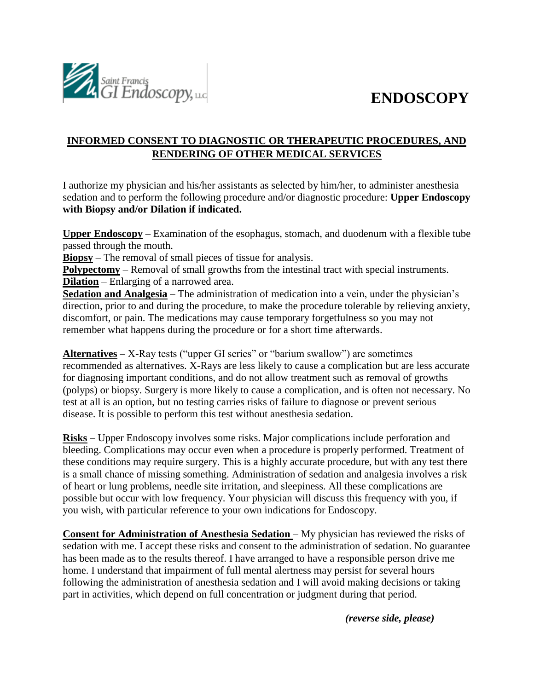## **ENDOSCOPY**



### **INFORMED CONSENT TO DIAGNOSTIC OR THERAPEUTIC PROCEDURES, AND RENDERING OF OTHER MEDICAL SERVICES**

I authorize my physician and his/her assistants as selected by him/her, to administer anesthesia sedation and to perform the following procedure and/or diagnostic procedure: **Upper Endoscopy with Biopsy and/or Dilation if indicated.**

**Upper Endoscopy** – Examination of the esophagus, stomach, and duodenum with a flexible tube passed through the mouth.

**Biopsy** – The removal of small pieces of tissue for analysis.

**Polypectomy** – Removal of small growths from the intestinal tract with special instruments. **Dilation** – Enlarging of a narrowed area.

**Sedation and Analgesia** – The administration of medication into a vein, under the physician's direction, prior to and during the procedure, to make the procedure tolerable by relieving anxiety, discomfort, or pain. The medications may cause temporary forgetfulness so you may not remember what happens during the procedure or for a short time afterwards.

**Alternatives** – X-Ray tests ("upper GI series" or "barium swallow") are sometimes recommended as alternatives. X-Rays are less likely to cause a complication but are less accurate for diagnosing important conditions, and do not allow treatment such as removal of growths (polyps) or biopsy. Surgery is more likely to cause a complication, and is often not necessary. No test at all is an option, but no testing carries risks of failure to diagnose or prevent serious disease. It is possible to perform this test without anesthesia sedation.

**Risks** – Upper Endoscopy involves some risks. Major complications include perforation and bleeding. Complications may occur even when a procedure is properly performed. Treatment of these conditions may require surgery. This is a highly accurate procedure, but with any test there is a small chance of missing something. Administration of sedation and analgesia involves a risk of heart or lung problems, needle site irritation, and sleepiness. All these complications are possible but occur with low frequency. Your physician will discuss this frequency with you, if you wish, with particular reference to your own indications for Endoscopy.

**Consent for Administration of Anesthesia Sedation** – My physician has reviewed the risks of sedation with me. I accept these risks and consent to the administration of sedation. No guarantee has been made as to the results thereof. I have arranged to have a responsible person drive me home. I understand that impairment of full mental alertness may persist for several hours following the administration of anesthesia sedation and I will avoid making decisions or taking part in activities, which depend on full concentration or judgment during that period.

*(reverse side, please)*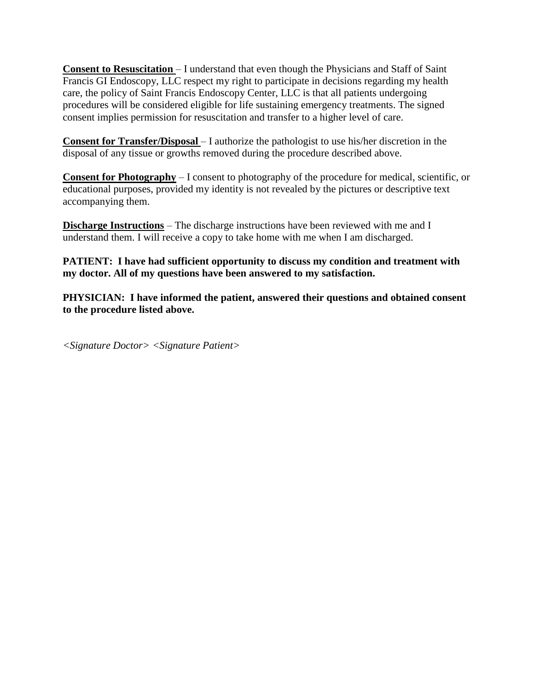**Consent to Resuscitation** – I understand that even though the Physicians and Staff of Saint Francis GI Endoscopy, LLC respect my right to participate in decisions regarding my health care, the policy of Saint Francis Endoscopy Center, LLC is that all patients undergoing procedures will be considered eligible for life sustaining emergency treatments. The signed consent implies permission for resuscitation and transfer to a higher level of care.

**Consent for Transfer/Disposal** – I authorize the pathologist to use his/her discretion in the disposal of any tissue or growths removed during the procedure described above.

**Consent for Photography** – I consent to photography of the procedure for medical, scientific, or educational purposes, provided my identity is not revealed by the pictures or descriptive text accompanying them.

**Discharge Instructions** – The discharge instructions have been reviewed with me and I understand them. I will receive a copy to take home with me when I am discharged.

**PATIENT: I have had sufficient opportunity to discuss my condition and treatment with my doctor. All of my questions have been answered to my satisfaction.** 

**PHYSICIAN: I have informed the patient, answered their questions and obtained consent to the procedure listed above.** 

*<Signature Doctor> <Signature Patient>*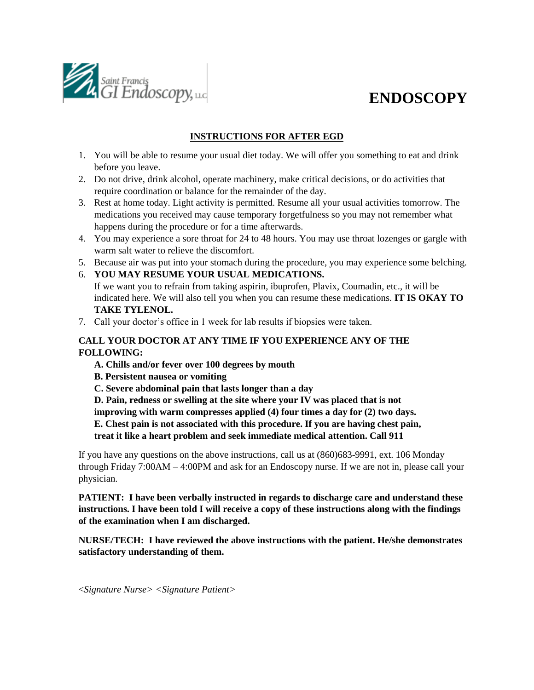

# **ENDOSCOPY**

### **INSTRUCTIONS FOR AFTER EGD**

- 1. You will be able to resume your usual diet today. We will offer you something to eat and drink before you leave.
- 2. Do not drive, drink alcohol, operate machinery, make critical decisions, or do activities that require coordination or balance for the remainder of the day.
- 3. Rest at home today. Light activity is permitted. Resume all your usual activities tomorrow. The medications you received may cause temporary forgetfulness so you may not remember what happens during the procedure or for a time afterwards.
- 4. You may experience a sore throat for 24 to 48 hours. You may use throat lozenges or gargle with warm salt water to relieve the discomfort.
- 5. Because air was put into your stomach during the procedure, you may experience some belching.
- 6. **YOU MAY RESUME YOUR USUAL MEDICATIONS.** 
	- If we want you to refrain from taking aspirin, ibuprofen, Plavix, Coumadin, etc., it will be indicated here. We will also tell you when you can resume these medications. **IT IS OKAY TO TAKE TYLENOL.**
- 7. Call your doctor's office in 1 week for lab results if biopsies were taken.

### **CALL YOUR DOCTOR AT ANY TIME IF YOU EXPERIENCE ANY OF THE FOLLOWING:**

- **A. Chills and/or fever over 100 degrees by mouth**
- **B. Persistent nausea or vomiting**
- **C. Severe abdominal pain that lasts longer than a day**
- **D. Pain, redness or swelling at the site where your IV was placed that is not**
- **improving with warm compresses applied (4) four times a day for (2) two days.**
- **E. Chest pain is not associated with this procedure. If you are having chest pain,**
- **treat it like a heart problem and seek immediate medical attention. Call 911**

If you have any questions on the above instructions, call us at (860)683-9991, ext. 106 Monday through Friday 7:00AM – 4:00PM and ask for an Endoscopy nurse. If we are not in, please call your physician.

**PATIENT: I have been verbally instructed in regards to discharge care and understand these instructions. I have been told I will receive a copy of these instructions along with the findings of the examination when I am discharged.** 

**NURSE/TECH: I have reviewed the above instructions with the patient. He/she demonstrates satisfactory understanding of them.** 

<*Signature Nurse> <Signature Patient>*